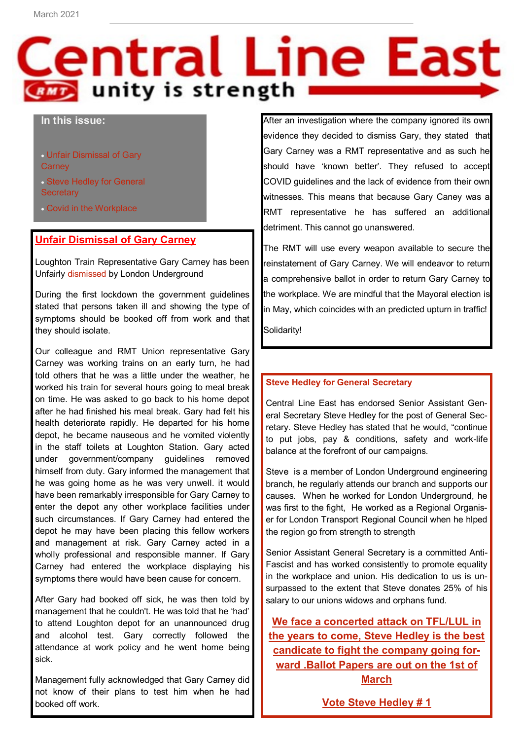# Central Line East **CRMD** unity is strength

## **In this issue:**

 Unfair Dismissal of Gary **Carney** 

- Steve Hedley for General **Secretary**
- Covid in the Workplace

# **Unfair Dismissal of Gary Carney**

Loughton Train Representative Gary Carney has been Unfairly dismissed by London Underground

During the first lockdown the government guidelines stated that persons taken ill and showing the type of symptoms should be booked off from work and that they should isolate.

Our colleague and RMT Union representative Gary Carney was working trains on an early turn, he had told others that he was a little under the weather, he worked his train for several hours going to meal break on time. He was asked to go back to his home depot after he had finished his meal break. Gary had felt his health deteriorate rapidly. He departed for his home depot, he became nauseous and he vomited violently in the staff toilets at Loughton Station. Gary acted under government/company guidelines removed himself from duty. Gary informed the management that he was going home as he was very unwell. it would have been remarkably irresponsible for Gary Carney to enter the depot any other workplace facilities under such circumstances. If Gary Carney had entered the depot he may have been placing this fellow workers and management at risk. Gary Carney acted in a wholly professional and responsible manner. If Gary Carney had entered the workplace displaying his symptoms there would have been cause for concern.

After Gary had booked off sick, he was then told by management that he couldn't. He was told that he 'had' to attend Loughton depot for an unannounced drug and alcohol test. Gary correctly followed the attendance at work policy and he went home being sick.

Management fully acknowledged that Gary Carney did not know of their plans to test him when he had booked off work.

After an investigation where the company ignored its own evidence they decided to dismiss Gary, they stated that Gary Carney was a RMT representative and as such he should have 'known better'. They refused to accept COVID guidelines and the lack of evidence from their own witnesses. This means that because Gary Caney was a RMT representative he has suffered an additional detriment. This cannot go unanswered.

The RMT will use every weapon available to secure the reinstatement of Gary Carney. We will endeavor to return a comprehensive ballot in order to return Gary Carney to the workplace. We are mindful that the Mayoral election is in May, which coincides with an predicted upturn in traffic!

Solidarity!

### **Steve Hedley for General Secretary**

Central Line East has endorsed Senior Assistant General Secretary Steve Hedley for the post of General Secretary. Steve Hedley has stated that he would, "continue to put jobs, pay & conditions, safety and work-life balance at the forefront of our campaigns.

Steve is a member of London Underground engineering branch, he regularly attends our branch and supports our causes. When he worked for London Underground, he was first to the fight, He worked as a Regional Organiser for London Transport Regional Council when he hlped the region go from strength to strength

Senior Assistant General Secretary is a committed Anti-Fascist and has worked consistently to promote equality in the workplace and union. His dedication to us is unsurpassed to the extent that Steve donates 25% of his salary to our unions widows and orphans fund.

**We face a concerted attack on TFL/LUL in the years to come, Steve Hedley is the best candicate to fight the company going forward .Ballot Papers are out on the 1st of March**

**Vote Steve Hedley # 1**